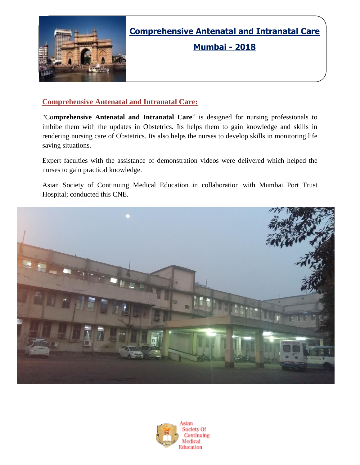

**Comprehensive Antenatal and Intranatal Care**

**Mumbai - 2018**

### **Comprehensive Antenatal and Intranatal Care:**

"Co**mprehensive Antenatal and Intranatal Care**" is designed for nursing professionals to imbibe them with the updates in Obstetrics. Its helps them to gain knowledge and skills in rendering nursing care of Obstetrics. Its also helps the nurses to develop skills in monitoring life saving situations.

Expert faculties with the assistance of demonstration videos were delivered which helped the nurses to gain practical knowledge.

Asian Society of Continuing Medical Education in collaboration with Mumbai Port Trust Hospital; conducted this CNE.



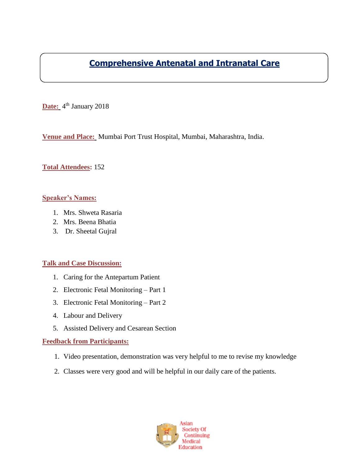## **Comprehensive Antenatal and Intranatal Care**

Date: 4<sup>th</sup> January 2018

**Venue and Place:** Mumbai Port Trust Hospital, Mumbai, Maharashtra, India.

#### **Total Attendees:** 152

#### **Speaker's Names:**

- 1. Mrs. Shweta Rasaria
- 2. Mrs. Beena Bhatia
- 3. Dr. Sheetal Gujral

#### **Talk and Case Discussion:**

- 1. Caring for the Antepartum Patient
- 2. Electronic Fetal Monitoring Part 1
- 3. Electronic Fetal Monitoring Part 2
- 4. Labour and Delivery
- 5. Assisted Delivery and Cesarean Section

#### **Feedback from Participants:**

- 1. Video presentation, demonstration was very helpful to me to revise my knowledge
- 2. Classes were very good and will be helpful in our daily care of the patients.

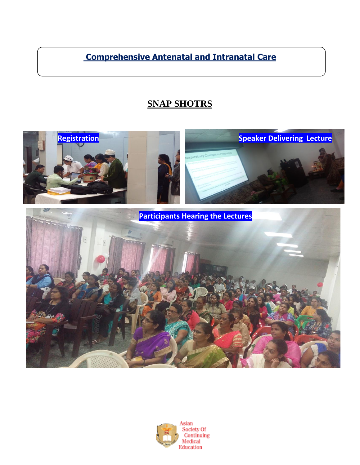**Comprehensive Antenatal and Intranatal Care**

# **SNAP SHOTRS**